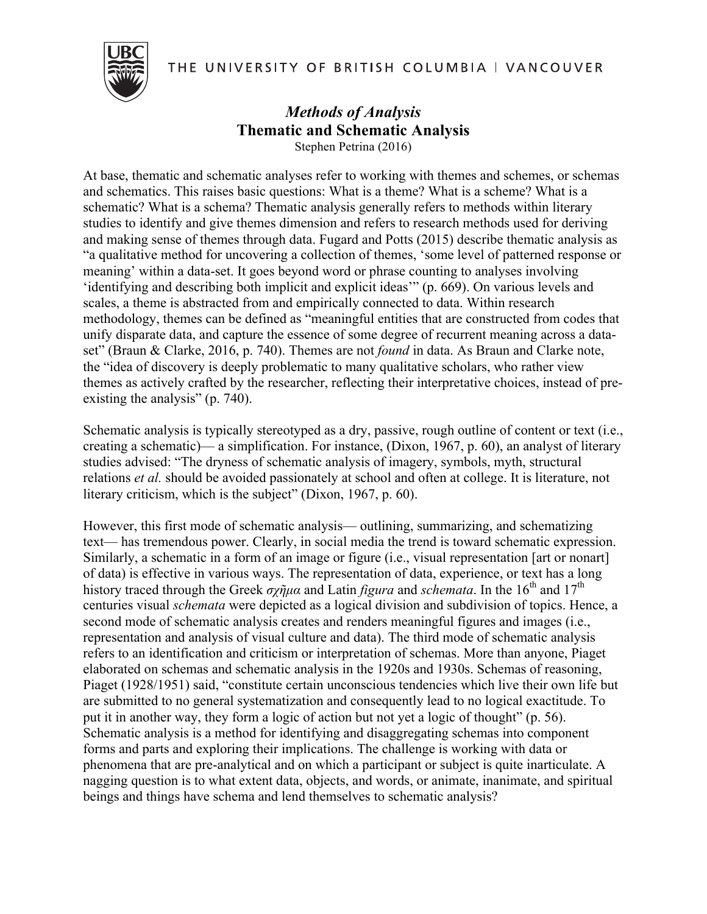THE UNIVERSITY OF BRITISH COLUMBIA | VANCOUVER



### *Methods of Analysis* **Thematic and Schematic Analysis** Stephen Petrina (2016)

At base, thematic and schematic analyses refer to working with themes and schemes, or schemas and schematics. This raises basic questions: What is a theme? What is a scheme? What is a schematic? What is a schema? Thematic analysis generally refers to methods within literary studies to identify and give themes dimension and refers to research methods used for deriving and making sense of themes through data. Fugard and Potts (2015) describe thematic analysis as "a qualitative method for uncovering a collection of themes, 'some level of patterned response or meaning' within a data-set. It goes beyond word or phrase counting to analyses involving 'identifying and describing both implicit and explicit ideas'" (p. 669). On various levels and scales, a theme is abstracted from and empirically connected to data. Within research methodology, themes can be defined as "meaningful entities that are constructed from codes that unify disparate data, and capture the essence of some degree of recurrent meaning across a dataset" (Braun & Clarke, 2016, p. 740). Themes are not *found* in data. As Braun and Clarke note, the "idea of discovery is deeply problematic to many qualitative scholars, who rather view themes as actively crafted by the researcher, reflecting their interpretative choices, instead of preexisting the analysis" (p. 740).

Schematic analysis is typically stereotyped as a dry, passive, rough outline of content or text (i.e., creating a schematic)— a simplification. For instance, (Dixon, 1967, p. 60), an analyst of literary studies advised: "The dryness of schematic analysis of imagery, symbols, myth, structural relations *et al.* should be avoided passionately at school and often at college. It is literature, not literary criticism, which is the subject" (Dixon, 1967, p. 60).

However, this first mode of schematic analysis— outlining, summarizing, and schematizing text— has tremendous power. Clearly, in social media the trend is toward schematic expression. Similarly, a schematic in a form of an image or figure (i.e., visual representation [art or nonart] of data) is effective in various ways. The representation of data, experience, or text has a long history traced through the Greek σχῆμα and Latin *figura* and *schemata*. In the 16<sup>th</sup> and 17<sup>th</sup> centuries visual *schemata* were depicted as a logical division and subdivision of topics. Hence, a second mode of schematic analysis creates and renders meaningful figures and images (i.e., representation and analysis of visual culture and data). The third mode of schematic analysis refers to an identification and criticism or interpretation of schemas. More than anyone, Piaget elaborated on schemas and schematic analysis in the 1920s and 1930s. Schemas of reasoning, Piaget (1928/1951) said, "constitute certain unconscious tendencies which live their own life but are submitted to no general systematization and consequently lead to no logical exactitude. To put it in another way, they form a logic of action but not yet a logic of thought" (p. 56). Schematic analysis is a method for identifying and disaggregating schemas into component forms and parts and exploring their implications. The challenge is working with data or phenomena that are pre-analytical and on which a participant or subject is quite inarticulate. A nagging question is to what extent data, objects, and words, or animate, inanimate, and spiritual beings and things have schema and lend themselves to schematic analysis?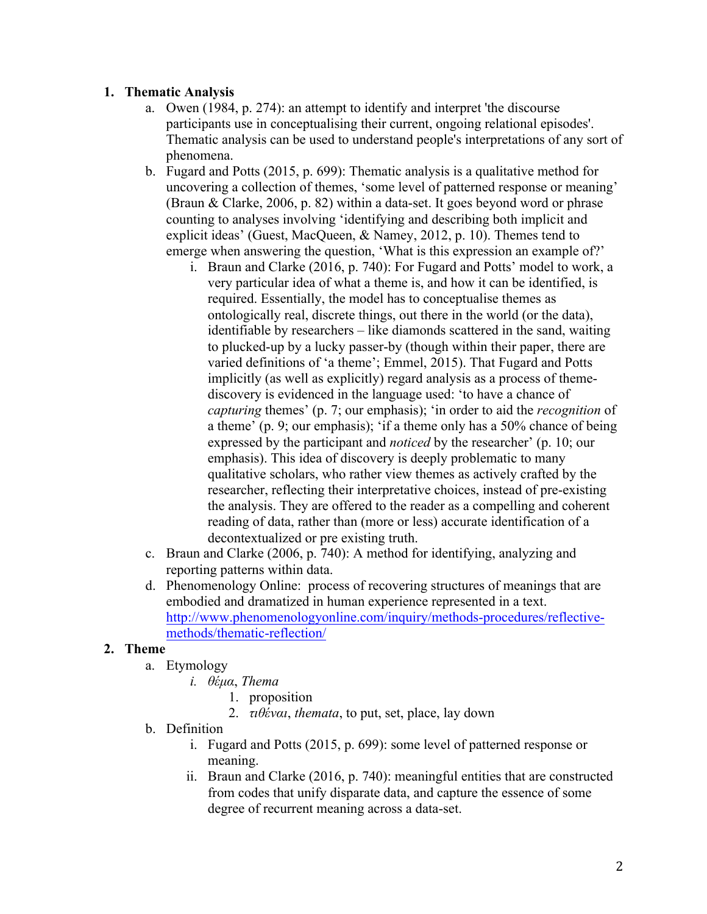## **1. Thematic Analysis**

- a. Owen (1984, p. 274): an attempt to identify and interpret 'the discourse participants use in conceptualising their current, ongoing relational episodes'. Thematic analysis can be used to understand people's interpretations of any sort of phenomena.
- b. Fugard and Potts (2015, p. 699): Thematic analysis is a qualitative method for uncovering a collection of themes, 'some level of patterned response or meaning' (Braun & Clarke, 2006, p. 82) within a data-set. It goes beyond word or phrase counting to analyses involving 'identifying and describing both implicit and explicit ideas' (Guest, MacQueen, & Namey, 2012, p. 10). Themes tend to emerge when answering the question, 'What is this expression an example of?'
	- i. Braun and Clarke (2016, p. 740): For Fugard and Potts' model to work, a very particular idea of what a theme is, and how it can be identified, is required. Essentially, the model has to conceptualise themes as ontologically real, discrete things, out there in the world (or the data), identifiable by researchers – like diamonds scattered in the sand, waiting to plucked-up by a lucky passer-by (though within their paper, there are varied definitions of 'a theme'; Emmel, 2015). That Fugard and Potts implicitly (as well as explicitly) regard analysis as a process of themediscovery is evidenced in the language used: 'to have a chance of *capturing* themes' (p. 7; our emphasis); 'in order to aid the *recognition* of a theme' (p. 9; our emphasis); 'if a theme only has a 50% chance of being expressed by the participant and *noticed* by the researcher' (p. 10; our emphasis). This idea of discovery is deeply problematic to many qualitative scholars, who rather view themes as actively crafted by the researcher, reflecting their interpretative choices, instead of pre-existing the analysis. They are offered to the reader as a compelling and coherent reading of data, rather than (more or less) accurate identification of a decontextualized or pre existing truth.
- c. Braun and Clarke (2006, p. 740): A method for identifying, analyzing and reporting patterns within data.
- d. Phenomenology Online: process of recovering structures of meanings that are embodied and dramatized in human experience represented in a text. http://www.phenomenologyonline.com/inquiry/methods-procedures/reflectivemethods/thematic-reflection/

### **2. Theme**

- a. Etymology
	- *i. θέµα*, *Thema*
		- 1. proposition
		- 2. *τιθέναι*, *themata*, to put, set, place, lay down
- b. Definition
	- i. Fugard and Potts (2015, p. 699): some level of patterned response or meaning.
	- ii. Braun and Clarke (2016, p. 740): meaningful entities that are constructed from codes that unify disparate data, and capture the essence of some degree of recurrent meaning across a data-set.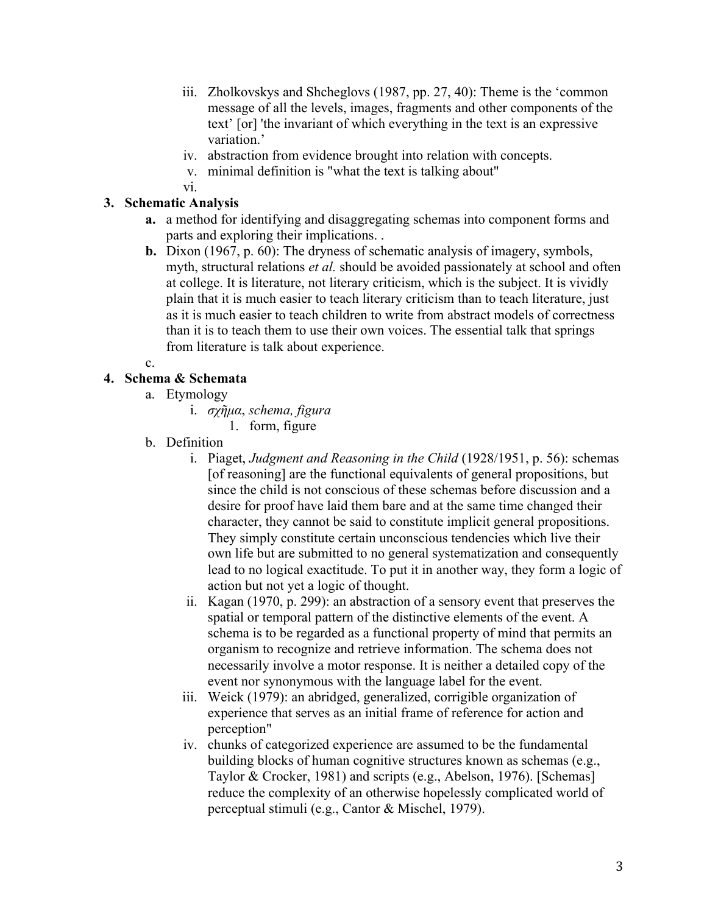- iii. Zholkovskys and Shcheglovs (1987, pp. 27, 40): Theme is the 'common message of all the levels, images, fragments and other components of the text' [or] 'the invariant of which everything in the text is an expressive variation.'
- iv. abstraction from evidence brought into relation with concepts.
- v. minimal definition is "what the text is talking about"
- vi.

# **3. Schematic Analysis**

- **a.** a method for identifying and disaggregating schemas into component forms and parts and exploring their implications. .
- **b.** Dixon (1967, p. 60): The dryness of schematic analysis of imagery, symbols, myth, structural relations *et al.* should be avoided passionately at school and often at college. It is literature, not literary criticism, which is the subject. It is vividly plain that it is much easier to teach literary criticism than to teach literature, just as it is much easier to teach children to write from abstract models of correctness than it is to teach them to use their own voices. The essential talk that springs from literature is talk about experience.
- c.

## **4. Schema & Schemata**

- a. Etymology
	- i. *σχῆµα*, *schema, figura*
		- 1. form, figure
- b. Definition
	- i. Piaget, *Judgment and Reasoning in the Child* (1928/1951, p. 56): schemas [of reasoning] are the functional equivalents of general propositions, but since the child is not conscious of these schemas before discussion and a desire for proof have laid them bare and at the same time changed their character, they cannot be said to constitute implicit general propositions. They simply constitute certain unconscious tendencies which live their own life but are submitted to no general systematization and consequently lead to no logical exactitude. To put it in another way, they form a logic of action but not yet a logic of thought.
	- ii. Kagan (1970, p. 299): an abstraction of a sensory event that preserves the spatial or temporal pattern of the distinctive elements of the event. A schema is to be regarded as a functional property of mind that permits an organism to recognize and retrieve information. The schema does not necessarily involve a motor response. It is neither a detailed copy of the event nor synonymous with the language label for the event.
	- iii. Weick (1979): an abridged, generalized, corrigible organization of experience that serves as an initial frame of reference for action and perception"
	- iv. chunks of categorized experience are assumed to be the fundamental building blocks of human cognitive structures known as schemas (e.g., Taylor & Crocker, 1981) and scripts (e.g., Abelson, 1976). [Schemas] reduce the complexity of an otherwise hopelessly complicated world of perceptual stimuli (e.g., Cantor & Mischel, 1979).